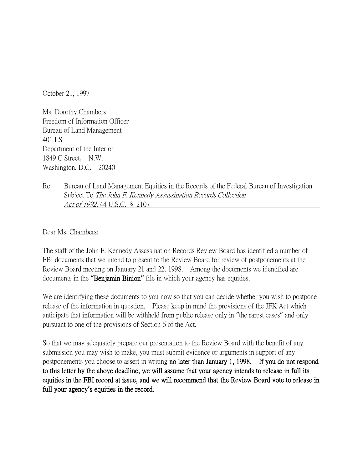October 21, 1997

Ms. Dorothy Chambers Freedom of Information Officer Bureau of Land Management 401 LS Department of the Interior 1849 C Street, N.W. Washington, D.C. 20240

Re: Bureau of Land Management Equities in the Records of the Federal Bureau of Investigation Subject To The John F. Kennedy Assassination Records Collection Act of 1992, 44 U.S.C. § 2107

Dear Ms. Chambers:

The staff of the John F. Kennedy Assassination Records Review Board has identified a number of FBI documents that we intend to present to the Review Board for review of postponements at the Review Board meeting on January 21 and 22, 1998. Among the documents we identified are documents in the **"**Benjamin Binion**"** file in which your agency has equities.

We are identifying these documents to you now so that you can decide whether you wish to postpone release of the information in question. Please keep in mind the provisions of the JFK Act which anticipate that information will be withheld from public release only in "the rarest cases" and only pursuant to one of the provisions of Section 6 of the Act.

So that we may adequately prepare our presentation to the Review Board with the benefit of any submission you may wish to make, you must submit evidence or arguments in support of any postponements you choose to assert in writing no later than January 1, 1998. If you do not respond to this letter by the above deadline, we will assume that your agency intends to release in full its equities in the FBI record at issue, and we will recommend that the Review Board vote to release in full your agency**'**s equities in the record.